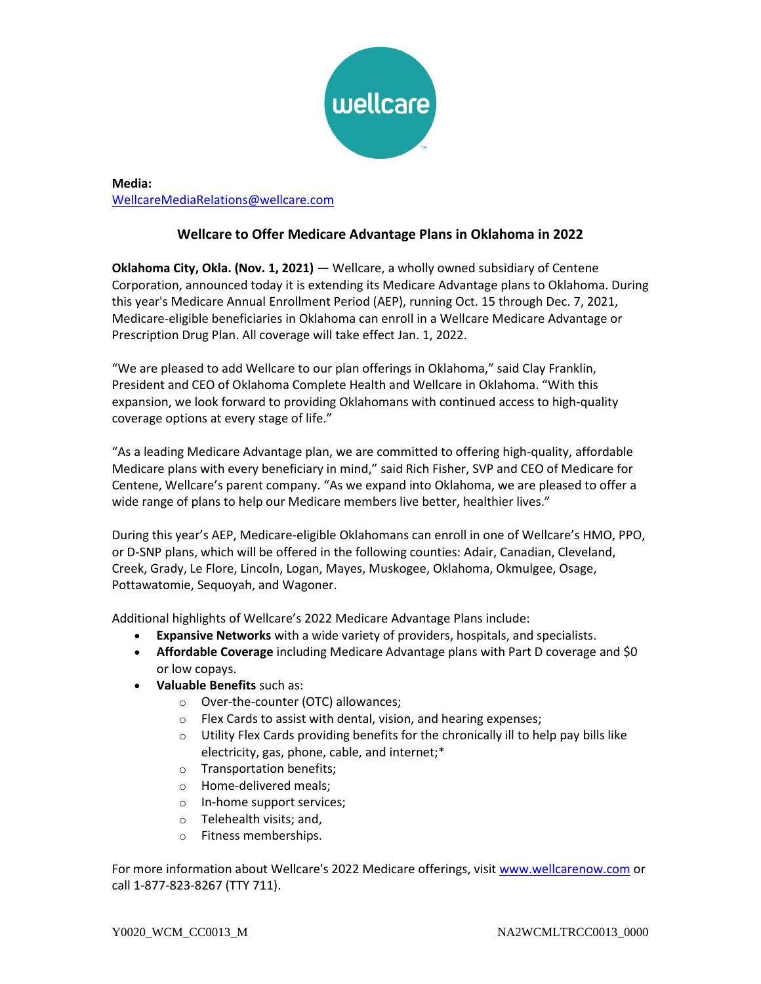

**Media:** [WellcareMediaRelations@wellcare.com](mailto:WellcareMediaRelations@wellcare.com)

## **Wellcare to Offer Medicare Advantage Plans in Oklahoma in 2022**

**Oklahoma City, Okla. (Nov. 1, 2021)** — Wellcare, a wholly owned subsidiary of Centene Corporation, announced today it is extending its Medicare Advantage plans to Oklahoma. During this year's Medicare Annual Enrollment Period (AEP), running Oct. 15 through Dec. 7, 2021, Medicare-eligible beneficiaries in Oklahoma can enroll in a Wellcare Medicare Advantage or Prescription Drug Plan. All coverage will take effect Jan. 1, 2022.

"We are pleased to add Wellcare to our plan offerings in Oklahoma," said Clay Franklin, President and CEO of Oklahoma Complete Health and Wellcare in Oklahoma. "With this expansion, we look forward to providing Oklahomans with continued access to high-quality coverage options at every stage of life."

"As a leading Medicare Advantage plan, we are committed to offering high-quality, affordable Medicare plans with every beneficiary in mind," said Rich Fisher, SVP and CEO of Medicare for Centene, Wellcare's parent company. "As we expand into Oklahoma, we are pleased to offer a wide range of plans to help our Medicare members live better, healthier lives."

During this year's AEP, Medicare-eligible Oklahomans can enroll in one of Wellcare's HMO, PPO, or D-SNP plans, which will be offered in the following counties: Adair, Canadian, Cleveland, Creek, Grady, Le Flore, Lincoln, Logan, Mayes, Muskogee, Oklahoma, Okmulgee, Osage, Pottawatomie, Sequoyah, and Wagoner.

Additional highlights of Wellcare's 2022 Medicare Advantage Plans include:

- **Expansive Networks** with a wide variety of providers, hospitals, and specialists.
- **Affordable Coverage** including Medicare Advantage plans with Part D coverage and \$0 or low copays.
- **Valuable Benefits** such as:
	- o Over-the-counter (OTC) allowances;
	- o Flex Cards to assist with dental, vision, and hearing expenses;
	- o Utility Flex Cards providing benefits for the chronically ill to help pay bills like electricity, gas, phone, cable, and internet;\*
	- o Transportation benefits;
	- o Home-delivered meals;
	- o In-home support services;
	- o Telehealth visits; and,
	- o Fitness memberships.

For more information about Wellcare's 2022 Medicare offerings, visit [www.wellcarenow.com](http://www.wellcarenow.com/) or call 1-877-823-8267 (TTY 711).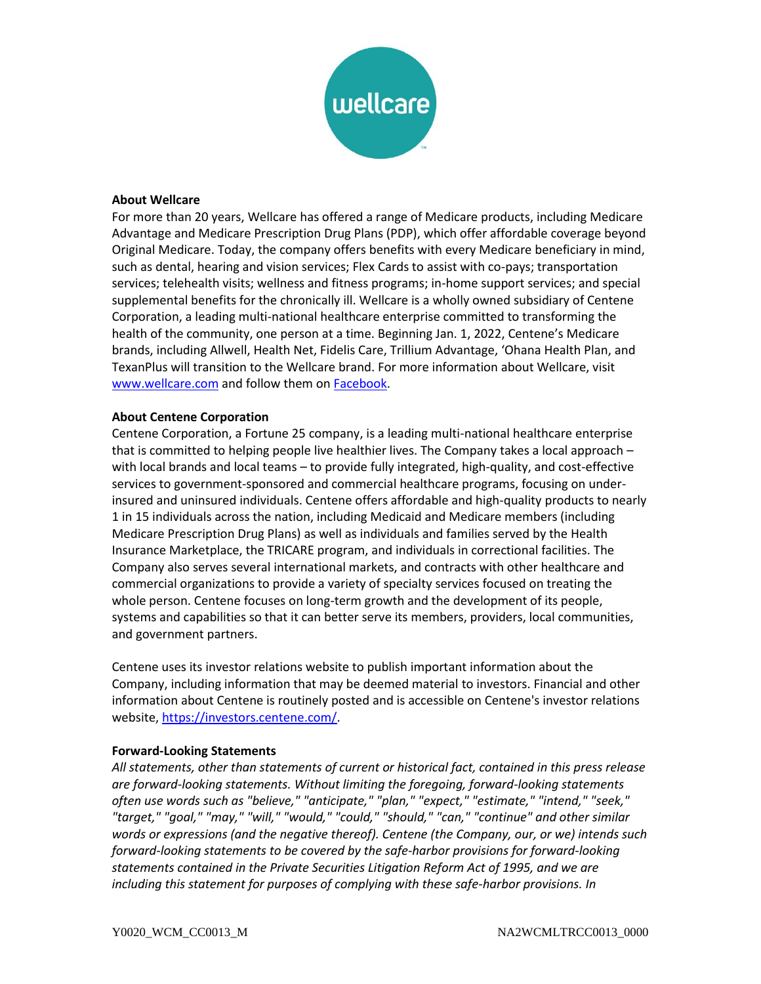

## **About Wellcare**

For more than 20 years, Wellcare has offered a range of Medicare products, including Medicare Advantage and Medicare Prescription Drug Plans (PDP), which offer affordable coverage beyond Original Medicare. Today, the company offers benefits with every Medicare beneficiary in mind, such as dental, hearing and vision services; Flex Cards to assist with co-pays; transportation services; telehealth visits; wellness and fitness programs; in-home support services; and special supplemental benefits for the chronically ill. Wellcare is a wholly owned subsidiary of Centene Corporation, a leading multi-national healthcare enterprise committed to transforming the health of the community, one person at a time. Beginning Jan. 1, 2022, Centene's Medicare brands, including Allwell, Health Net, Fidelis Care, Trillium Advantage, 'Ohana Health Plan, and TexanPlus will transition to the Wellcare brand. For more information about Wellcare, visit [www.wellcare.com](http://www.wellcare.com/) and follow them o[n Facebook.](https://www.facebook.com/WellcareMedicare)

## **About Centene Corporation**

Centene Corporation, a Fortune 25 company, is a leading multi-national healthcare enterprise that is committed to helping people live healthier lives. The Company takes a local approach – with local brands and local teams – to provide fully integrated, high-quality, and cost-effective services to government-sponsored and commercial healthcare programs, focusing on underinsured and uninsured individuals. Centene offers affordable and high-quality products to nearly 1 in 15 individuals across the nation, including Medicaid and Medicare members (including Medicare Prescription Drug Plans) as well as individuals and families served by the Health Insurance Marketplace, the TRICARE program, and individuals in correctional facilities. The Company also serves several international markets, and contracts with other healthcare and commercial organizations to provide a variety of specialty services focused on treating the whole person. Centene focuses on long-term growth and the development of its people, systems and capabilities so that it can better serve its members, providers, local communities, and government partners.

Centene uses its investor relations website to publish important information about the Company, including information that may be deemed material to investors. Financial and other information about Centene is routinely posted and is accessible on Centene's investor relations website, [https://investors.centene.com/.](https://investors.centene.com/)

## **Forward-Looking Statements**

*All statements, other than statements of current or historical fact, contained in this press release are forward-looking statements. Without limiting the foregoing, forward-looking statements often use words such as "believe," "anticipate," "plan," "expect," "estimate," "intend," "seek," "target," "goal," "may," "will," "would," "could," "should," "can," "continue" and other similar words or expressions (and the negative thereof). Centene (the Company, our, or we) intends such forward-looking statements to be covered by the safe-harbor provisions for forward-looking statements contained in the Private Securities Litigation Reform Act of 1995, and we are including this statement for purposes of complying with these safe-harbor provisions. In*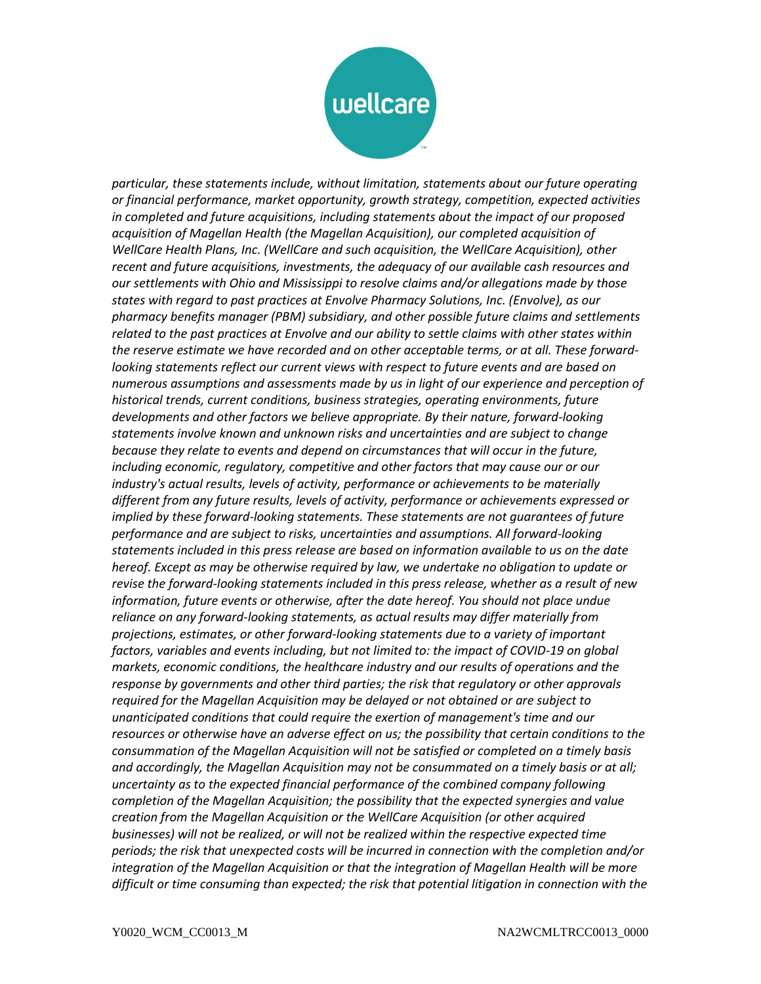

*particular, these statements include, without limitation, statements about our future operating or financial performance, market opportunity, growth strategy, competition, expected activities in completed and future acquisitions, including statements about the impact of our proposed acquisition of Magellan Health (the Magellan Acquisition), our completed acquisition of WellCare Health Plans, Inc. (WellCare and such acquisition, the WellCare Acquisition), other recent and future acquisitions, investments, the adequacy of our available cash resources and our settlements with Ohio and Mississippi to resolve claims and/or allegations made by those states with regard to past practices at Envolve Pharmacy Solutions, Inc. (Envolve), as our pharmacy benefits manager (PBM) subsidiary, and other possible future claims and settlements related to the past practices at Envolve and our ability to settle claims with other states within the reserve estimate we have recorded and on other acceptable terms, or at all. These forwardlooking statements reflect our current views with respect to future events and are based on numerous assumptions and assessments made by us in light of our experience and perception of historical trends, current conditions, business strategies, operating environments, future developments and other factors we believe appropriate. By their nature, forward-looking statements involve known and unknown risks and uncertainties and are subject to change because they relate to events and depend on circumstances that will occur in the future, including economic, regulatory, competitive and other factors that may cause our or our industry's actual results, levels of activity, performance or achievements to be materially different from any future results, levels of activity, performance or achievements expressed or implied by these forward-looking statements. These statements are not guarantees of future performance and are subject to risks, uncertainties and assumptions. All forward-looking statements included in this press release are based on information available to us on the date hereof. Except as may be otherwise required by law, we undertake no obligation to update or revise the forward-looking statements included in this press release, whether as a result of new information, future events or otherwise, after the date hereof. You should not place undue reliance on any forward-looking statements, as actual results may differ materially from projections, estimates, or other forward-looking statements due to a variety of important factors, variables and events including, but not limited to: the impact of COVID-19 on global markets, economic conditions, the healthcare industry and our results of operations and the response by governments and other third parties; the risk that regulatory or other approvals required for the Magellan Acquisition may be delayed or not obtained or are subject to unanticipated conditions that could require the exertion of management's time and our resources or otherwise have an adverse effect on us; the possibility that certain conditions to the consummation of the Magellan Acquisition will not be satisfied or completed on a timely basis and accordingly, the Magellan Acquisition may not be consummated on a timely basis or at all; uncertainty as to the expected financial performance of the combined company following completion of the Magellan Acquisition; the possibility that the expected synergies and value creation from the Magellan Acquisition or the WellCare Acquisition (or other acquired businesses) will not be realized, or will not be realized within the respective expected time periods; the risk that unexpected costs will be incurred in connection with the completion and/or integration of the Magellan Acquisition or that the integration of Magellan Health will be more difficult or time consuming than expected; the risk that potential litigation in connection with the*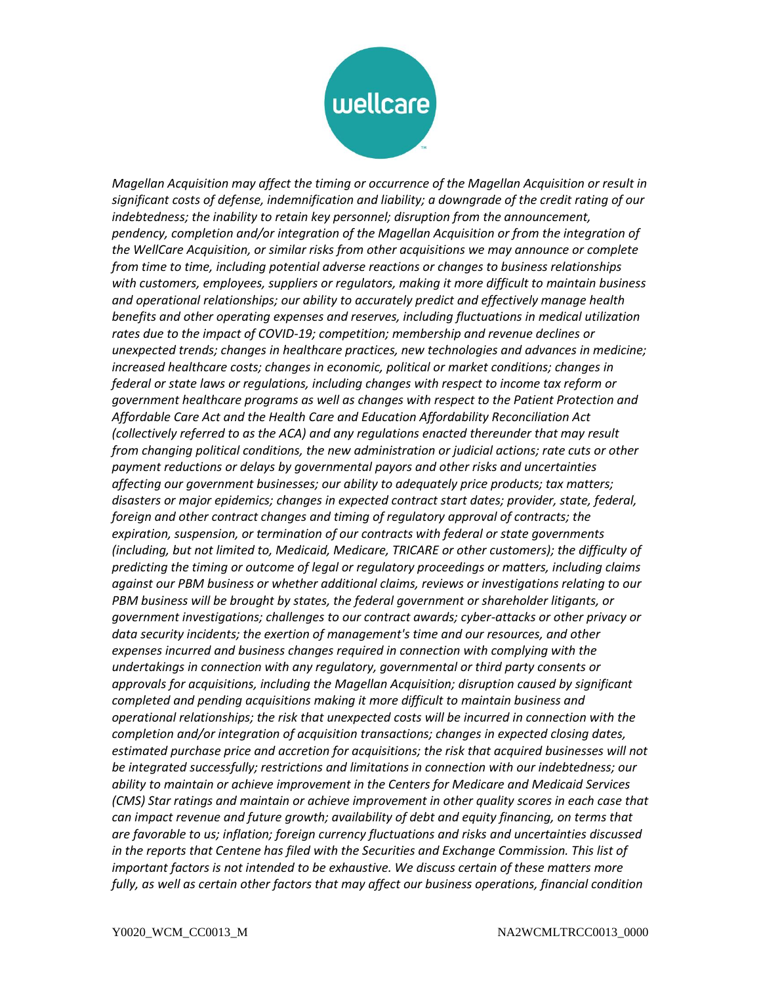

*Magellan Acquisition may affect the timing or occurrence of the Magellan Acquisition or result in significant costs of defense, indemnification and liability; a downgrade of the credit rating of our indebtedness; the inability to retain key personnel; disruption from the announcement, pendency, completion and/or integration of the Magellan Acquisition or from the integration of the WellCare Acquisition, or similar risks from other acquisitions we may announce or complete from time to time, including potential adverse reactions or changes to business relationships with customers, employees, suppliers or regulators, making it more difficult to maintain business and operational relationships; our ability to accurately predict and effectively manage health benefits and other operating expenses and reserves, including fluctuations in medical utilization rates due to the impact of COVID-19; competition; membership and revenue declines or unexpected trends; changes in healthcare practices, new technologies and advances in medicine; increased healthcare costs; changes in economic, political or market conditions; changes in federal or state laws or regulations, including changes with respect to income tax reform or government healthcare programs as well as changes with respect to the Patient Protection and Affordable Care Act and the Health Care and Education Affordability Reconciliation Act (collectively referred to as the ACA) and any regulations enacted thereunder that may result from changing political conditions, the new administration or judicial actions; rate cuts or other payment reductions or delays by governmental payors and other risks and uncertainties affecting our government businesses; our ability to adequately price products; tax matters; disasters or major epidemics; changes in expected contract start dates; provider, state, federal, foreign and other contract changes and timing of regulatory approval of contracts; the expiration, suspension, or termination of our contracts with federal or state governments (including, but not limited to, Medicaid, Medicare, TRICARE or other customers); the difficulty of predicting the timing or outcome of legal or regulatory proceedings or matters, including claims against our PBM business or whether additional claims, reviews or investigations relating to our PBM business will be brought by states, the federal government or shareholder litigants, or government investigations; challenges to our contract awards; cyber-attacks or other privacy or data security incidents; the exertion of management's time and our resources, and other expenses incurred and business changes required in connection with complying with the undertakings in connection with any regulatory, governmental or third party consents or approvals for acquisitions, including the Magellan Acquisition; disruption caused by significant completed and pending acquisitions making it more difficult to maintain business and operational relationships; the risk that unexpected costs will be incurred in connection with the completion and/or integration of acquisition transactions; changes in expected closing dates, estimated purchase price and accretion for acquisitions; the risk that acquired businesses will not be integrated successfully; restrictions and limitations in connection with our indebtedness; our ability to maintain or achieve improvement in the Centers for Medicare and Medicaid Services (CMS) Star ratings and maintain or achieve improvement in other quality scores in each case that can impact revenue and future growth; availability of debt and equity financing, on terms that are favorable to us; inflation; foreign currency fluctuations and risks and uncertainties discussed in the reports that Centene has filed with the Securities and Exchange Commission. This list of important factors is not intended to be exhaustive. We discuss certain of these matters more fully, as well as certain other factors that may affect our business operations, financial condition*